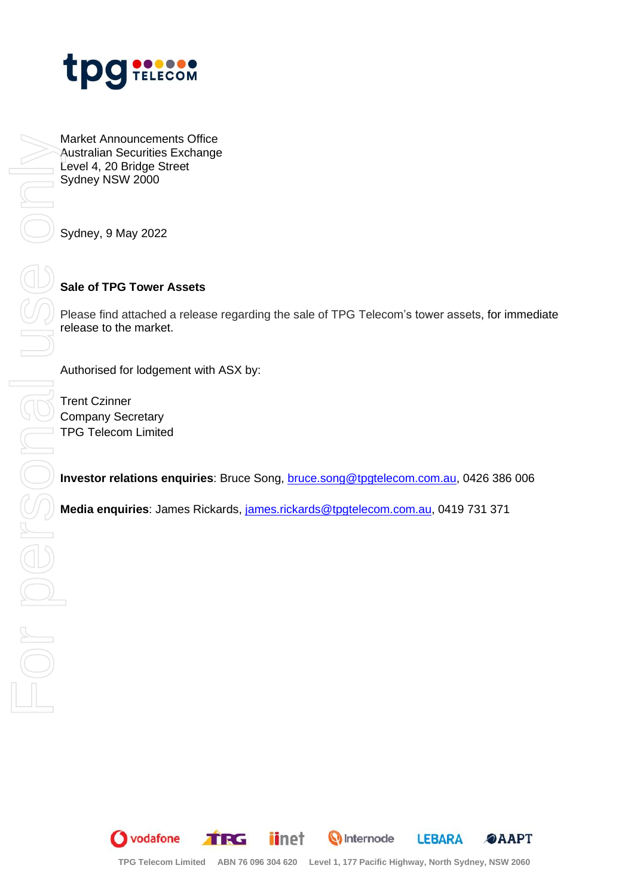

Market Announcements Office Australian Securities Exchange Level 4, 20 Bridge Street Sydney NSW 2000

Sydney, 9 May 2022

### **Sale of TPG Tower Assets**

Please find attached a release regarding the sale of TPG Telecom's tower assets, for immediate release to the market.

Authorised for lodgement with ASX by:

Trent Czinner Company Secretary TPG Telecom Limited

**Investor relations enquiries**: Bruce Song, [bruce.song@tpgtelecom.com.au,](mailto:bruce.song@tpgtelecom.com.au) 0426 386 006

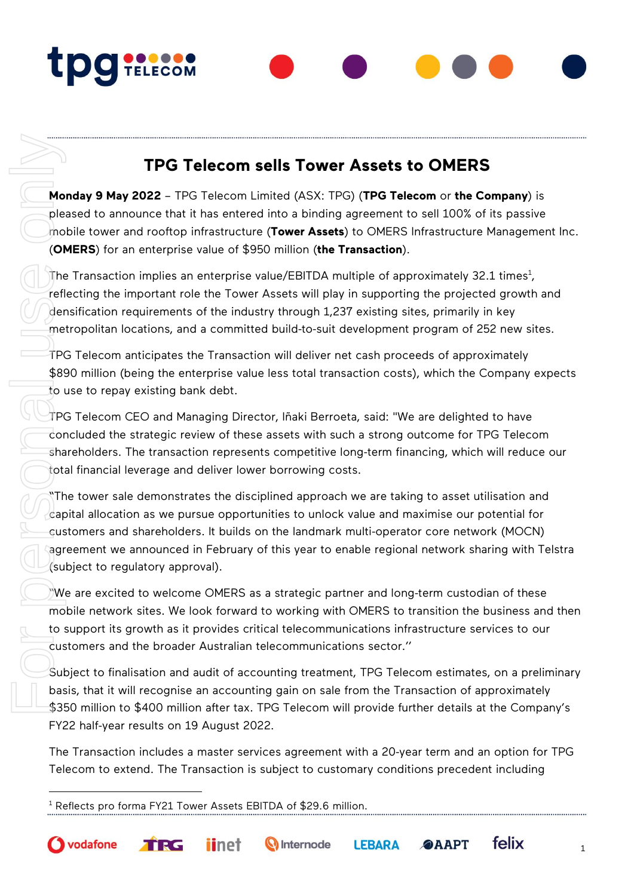# **TPg TELECOM**

## **TPG Telecom sells Tower Assets to OMERS**

**Monday 9 May 2022** – TPG Telecom Limited (ASX: TPG) (**TPG Telecom** or **the Company**) is pleased to announce that it has entered into a binding agreement to sell 100% of its passive mobile tower and rooftop infrastructure (**Tower Assets**) to OMERS Infrastructure Management Inc. (**OMERS**) for an enterprise value of \$950 million (**the Transaction**).

The Transaction implies an enterprise value/EBITDA multiple of approximately 32.1 times $^{\rm 1}$ , reflecting the important role the Tower Assets will play in supporting the projected growth and densification requirements of the industry through 1,237 existing sites, primarily in key metropolitan locations, and a committed build-to-suit development program of 252 new sites.

TPG Telecom anticipates the Transaction will deliver net cash proceeds of approximately \$890 million (being the enterprise value less total transaction costs), which the Company expects to use to repay existing bank debt.

TPG Telecom CEO and Managing Director, Iñaki Berroeta, said: "We are delighted to have concluded the strategic review of these assets with such a strong outcome for TPG Telecom shareholders. The transaction represents competitive long-term financing, which will reduce our total financial leverage and deliver lower borrowing costs.

"The tower sale demonstrates the disciplined approach we are taking to asset utilisation and capital allocation as we pursue opportunities to unlock value and maximise our potential for customers and shareholders. It builds on the landmark multi-operator core network (MOCN) agreement we announced in February of this year to enable regional network sharing with Telstra (subject to regulatory approval).

"We are excited to welcome OMERS as a strategic partner and long-term custodian of these mobile network sites. We look forward to working with OMERS to transition the business and then to support its growth as it provides critical telecommunications infrastructure services to our customers and the broader Australian telecommunications sector.''

Subject to finalisation and audit of accounting treatment, TPG Telecom estimates, on a preliminary basis, that it will recognise an accounting gain on sale from the Transaction of approximately \$350 million to \$400 million after tax. TPG Telecom will provide further details at the Company's FY22 half-year results on 19 August 2022.

The Transaction includes a master services agreement with a 20-year term and an option for TPG Telecom to extend. The Transaction is subject to customary conditions precedent including

**O** Internode

**LEBARA** 

**@AAPT** 

TRE

*iinet* 

**O** vodafone

felix

1